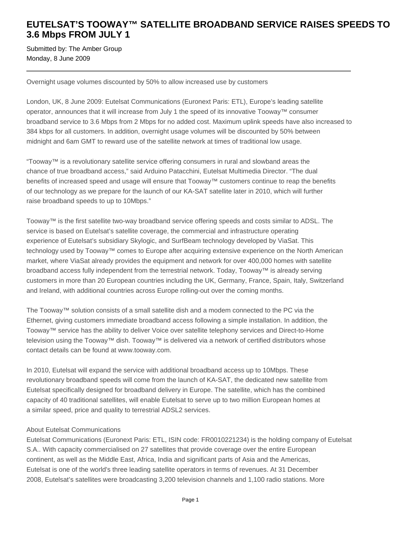# **EUTELSAT'S TOOWAY™ SATELLITE BROADBAND SERVICE RAISES SPEEDS TO 3.6 Mbps FROM JULY 1**

Submitted by: The Amber Group Monday, 8 June 2009

### Overnight usage volumes discounted by 50% to allow increased use by customers

London, UK, 8 June 2009: Eutelsat Communications (Euronext Paris: ETL), Europe's leading satellite operator, announces that it will increase from July 1 the speed of its innovative Tooway™ consumer broadband service to 3.6 Mbps from 2 Mbps for no added cost. Maximum uplink speeds have also increased to 384 kbps for all customers. In addition, overnight usage volumes will be discounted by 50% between midnight and 6am GMT to reward use of the satellite network at times of traditional low usage.

"Tooway™ is a revolutionary satellite service offering consumers in rural and slowband areas the chance of true broadband access," said Arduino Patacchini, Eutelsat Multimedia Director. "The dual benefits of increased speed and usage will ensure that Tooway™ customers continue to reap the benefits of our technology as we prepare for the launch of our KA-SAT satellite later in 2010, which will further raise broadband speeds to up to 10Mbps."

Tooway™ is the first satellite two-way broadband service offering speeds and costs similar to ADSL. The service is based on Eutelsat's satellite coverage, the commercial and infrastructure operating experience of Eutelsat's subsidiary Skylogic, and SurfBeam technology developed by ViaSat. This technology used by Tooway™ comes to Europe after acquiring extensive experience on the North American market, where ViaSat already provides the equipment and network for over 400,000 homes with satellite broadband access fully independent from the terrestrial network. Today, Tooway™ is already serving customers in more than 20 European countries including the UK, Germany, France, Spain, Italy, Switzerland and Ireland, with additional countries across Europe rolling-out over the coming months.

The Tooway™ solution consists of a small satellite dish and a modem connected to the PC via the Ethernet, giving customers immediate broadband access following a simple installation. In addition, the Tooway™ service has the ability to deliver Voice over satellite telephony services and Direct-to-Home television using the Tooway™ dish. Tooway™ is delivered via a network of certified distributors whose contact details can be found at www.tooway.com.

In 2010, Eutelsat will expand the service with additional broadband access up to 10Mbps. These revolutionary broadband speeds will come from the launch of KA-SAT, the dedicated new satellite from Eutelsat specifically designed for broadband delivery in Europe. The satellite, which has the combined capacity of 40 traditional satellites, will enable Eutelsat to serve up to two million European homes at a similar speed, price and quality to terrestrial ADSL2 services.

## About Eutelsat Communications

Eutelsat Communications (Euronext Paris: ETL, ISIN code: FR0010221234) is the holding company of Eutelsat S.A.. With capacity commercialised on 27 satellites that provide coverage over the entire European continent, as well as the Middle East, Africa, India and significant parts of Asia and the Americas, Eutelsat is one of the world's three leading satellite operators in terms of revenues. At 31 December 2008, Eutelsat's satellites were broadcasting 3,200 television channels and 1,100 radio stations. More